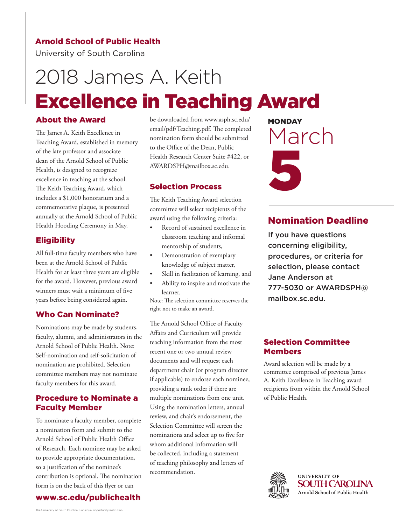# Arnold School of Public Health

University of South Carolina

# 2018 James A. Keith Excellence in Teaching Award

# About the Award

The James A. Keith Excellence in Teaching Award, established in memory of the late professor and associate dean of the Arnold School of Public Health, is designed to recognize excellence in teaching at the school. The Keith Teaching Award, which includes a \$1,000 honorarium and a commemorative plaque, is presented annually at the Arnold School of Public Health Hooding Ceremony in May.

# **Eligibility**

All full-time faculty members who have been at the Arnold School of Public Health for at least three years are eligible for the award. However, previous award winners must wait a minimum of five years before being considered again.

## Who Can Nominate?

Nominations may be made by students, faculty, alumni, and administrators in the Arnold School of Public Health. Note: Self-nomination and self-solicitation of nomination are prohibited. Selection committee members may not nominate faculty members for this award.

# Procedure to Nominate a Faculty Member

To nominate a faculty member, complete a nomination form and submit to the Arnold School of Public Health Office of Research. Each nominee may be asked to provide appropriate documentation, so a justification of the nominee's contribution is optional. The nomination form is on the back of this flyer or can



be downloaded from www.asph.sc.edu/ email/pdf/Teaching.pdf. The completed nomination form should be submitted to the Office of the Dean, Public Health Research Center Suite #422, or AWARDSPH@mailbox.sc.edu.

#### Selection Process

The Keith Teaching Award selection committee will select recipients of the award using the following criteria:

- Record of sustained excellence in classroom teaching and informal mentorship of students,
- Demonstration of exemplary knowledge of subject matter,
- Skill in facilitation of learning, and
- Ability to inspire and motivate the learner.

Note: The selection committee reserves the right not to make an award.

The Arnold School Office of Faculty Affairs and Curriculum will provide teaching information from the most recent one or two annual review documents and will request each department chair (or program director if applicable) to endorse each nominee, providing a rank order if there are multiple nominations from one unit. Using the nomination letters, annual review, and chair's endorsement, the Selection Committee will screen the nominations and select up to five for whom additional information will be collected, including a statement of teaching philosophy and letters of recommendation.

**MONDAY** March 5

# Nomination Deadline

If you have questions concerning eligibility, procedures, or criteria for selection, please contact Jane Anderson at [777-5030 or AWARDSPH@](mailto: AWARDSPH@mailbox.sc.edu?subject=Call for Nominations 2018 Faculty Awards) mailbox.sc.edu.

# Selection Committee Members

Award selection will be made by a committee comprised of previous James A. Keith Excellence in Teaching award recipients from within the Arnold School of Public Health.